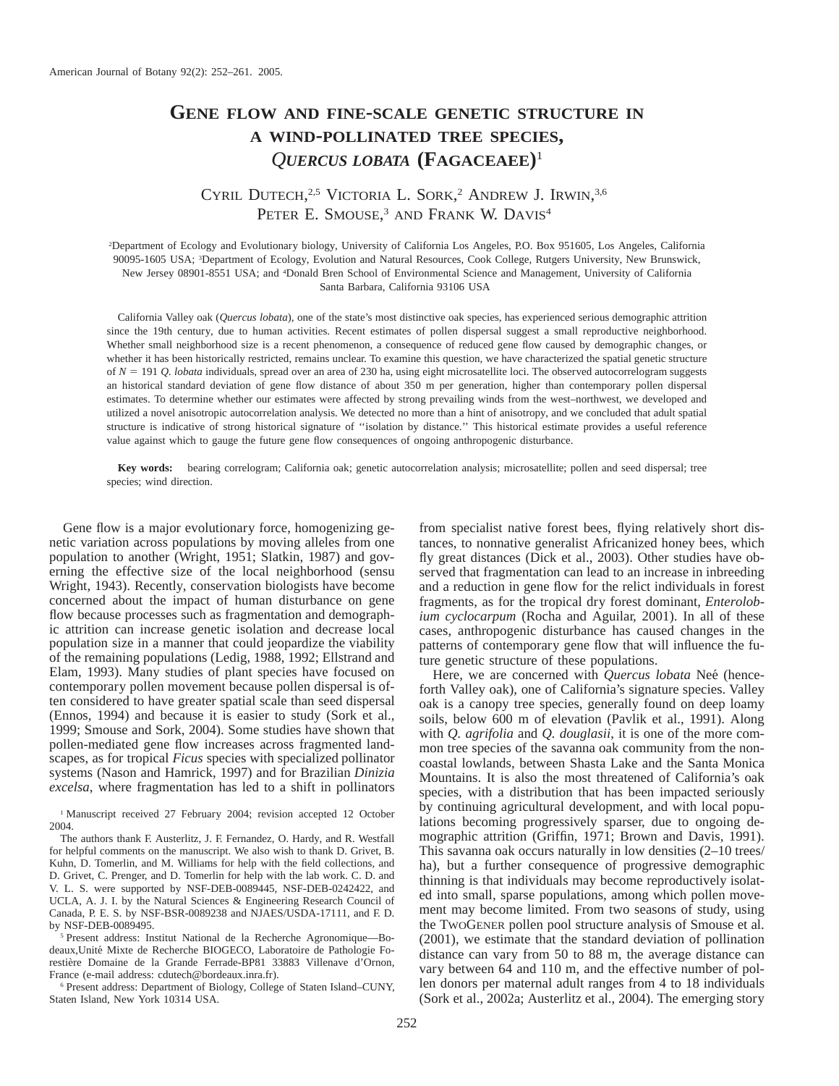# **GENE FLOW AND FINE-SCALE GENETIC STRUCTURE IN A WIND-POLLINATED TREE SPECIES,** *QUERCUS LOBATA* **(FAGACEAEE)**<sup>1</sup>

# CYRIL DUTECH,<sup>2,5</sup> VICTORIA L. SORK,<sup>2</sup> ANDREW J. IRWIN,<sup>3,6</sup> PETER E. SMOUSE,<sup>3</sup> AND FRANK W. DAVIS<sup>4</sup>

2 Department of Ecology and Evolutionary biology, University of California Los Angeles, P.O. Box 951605, Los Angeles, California 90095-1605 USA; <sup>3</sup> Department of Ecology, Evolution and Natural Resources, Cook College, Rutgers University, New Brunswick, New Jersey 08901-8551 USA; and <sup>4</sup>Donald Bren School of Environmental Science and Management, University of California Santa Barbara, California 93106 USA

California Valley oak (*Quercus lobata*), one of the state's most distinctive oak species, has experienced serious demographic attrition since the 19th century, due to human activities. Recent estimates of pollen dispersal suggest a small reproductive neighborhood. Whether small neighborhood size is a recent phenomenon, a consequence of reduced gene flow caused by demographic changes, or whether it has been historically restricted, remains unclear. To examine this question, we have characterized the spatial genetic structure of  $N = 191$  *Q. lobata* individuals, spread over an area of 230 ha, using eight microsatellite loci. The observed autocorrelogram suggests an historical standard deviation of gene flow distance of about 350 m per generation, higher than contemporary pollen dispersal estimates. To determine whether our estimates were affected by strong prevailing winds from the west–northwest, we developed and utilized a novel anisotropic autocorrelation analysis. We detected no more than a hint of anisotropy, and we concluded that adult spatial structure is indicative of strong historical signature of ''isolation by distance.'' This historical estimate provides a useful reference value against which to gauge the future gene flow consequences of ongoing anthropogenic disturbance.

**Key words:** bearing correlogram; California oak; genetic autocorrelation analysis; microsatellite; pollen and seed dispersal; tree species; wind direction.

Gene flow is a major evolutionary force, homogenizing genetic variation across populations by moving alleles from one population to another (Wright, 1951; Slatkin, 1987) and governing the effective size of the local neighborhood (sensu Wright, 1943). Recently, conservation biologists have become concerned about the impact of human disturbance on gene flow because processes such as fragmentation and demographic attrition can increase genetic isolation and decrease local population size in a manner that could jeopardize the viability of the remaining populations (Ledig, 1988, 1992; Ellstrand and Elam, 1993). Many studies of plant species have focused on contemporary pollen movement because pollen dispersal is often considered to have greater spatial scale than seed dispersal (Ennos, 1994) and because it is easier to study (Sork et al., 1999; Smouse and Sork, 2004). Some studies have shown that pollen-mediated gene flow increases across fragmented landscapes, as for tropical *Ficus* species with specialized pollinator systems (Nason and Hamrick, 1997) and for Brazilian *Dinizia excelsa*, where fragmentation has led to a shift in pollinators

<sup>1</sup> Manuscript received 27 February 2004; revision accepted 12 October 2004.

The authors thank F. Austerlitz, J. F. Fernandez, O. Hardy, and R. Westfall for helpful comments on the manuscript. We also wish to thank D. Grivet, B. Kuhn, D. Tomerlin, and M. Williams for help with the field collections, and D. Grivet, C. Prenger, and D. Tomerlin for help with the lab work. C. D. and V. L. S. were supported by NSF-DEB-0089445, NSF-DEB-0242422, and UCLA, A. J. I. by the Natural Sciences & Engineering Research Council of Canada, P. E. S. by NSF-BSR-0089238 and NJAES/USDA-17111, and F. D. by NSF-DEB-0089495.

<sup>5</sup> Present address: Institut National de la Recherche Agronomique—Bodeaux,Unité Mixte de Recherche BIOGECO, Laboratoire de Pathologie Forestière Domaine de la Grande Ferrade-BP81 33883 Villenave d'Ornon, France (e-mail address: cdutech@bordeaux.inra.fr).

<sup>6</sup> Present address: Department of Biology, College of Staten Island–CUNY, Staten Island, New York 10314 USA.

from specialist native forest bees, flying relatively short distances, to nonnative generalist Africanized honey bees, which fly great distances (Dick et al., 2003). Other studies have observed that fragmentation can lead to an increase in inbreeding and a reduction in gene flow for the relict individuals in forest fragments, as for the tropical dry forest dominant, *Enterolobium cyclocarpum* (Rocha and Aguilar, 2001). In all of these cases, anthropogenic disturbance has caused changes in the patterns of contemporary gene flow that will influence the future genetic structure of these populations.

Here, we are concerned with *Quercus lobata* Neé (henceforth Valley oak), one of California's signature species. Valley oak is a canopy tree species, generally found on deep loamy soils, below 600 m of elevation (Pavlik et al., 1991). Along with *Q. agrifolia* and *Q. douglasii*, it is one of the more common tree species of the savanna oak community from the noncoastal lowlands, between Shasta Lake and the Santa Monica Mountains. It is also the most threatened of California's oak species, with a distribution that has been impacted seriously by continuing agricultural development, and with local populations becoming progressively sparser, due to ongoing demographic attrition (Griffin, 1971; Brown and Davis, 1991). This savanna oak occurs naturally in low densities (2–10 trees/ ha), but a further consequence of progressive demographic thinning is that individuals may become reproductively isolated into small, sparse populations, among which pollen movement may become limited. From two seasons of study, using the TWOGENER pollen pool structure analysis of Smouse et al. (2001), we estimate that the standard deviation of pollination distance can vary from 50 to 88 m, the average distance can vary between 64 and 110 m, and the effective number of pollen donors per maternal adult ranges from 4 to 18 individuals (Sork et al., 2002a; Austerlitz et al., 2004). The emerging story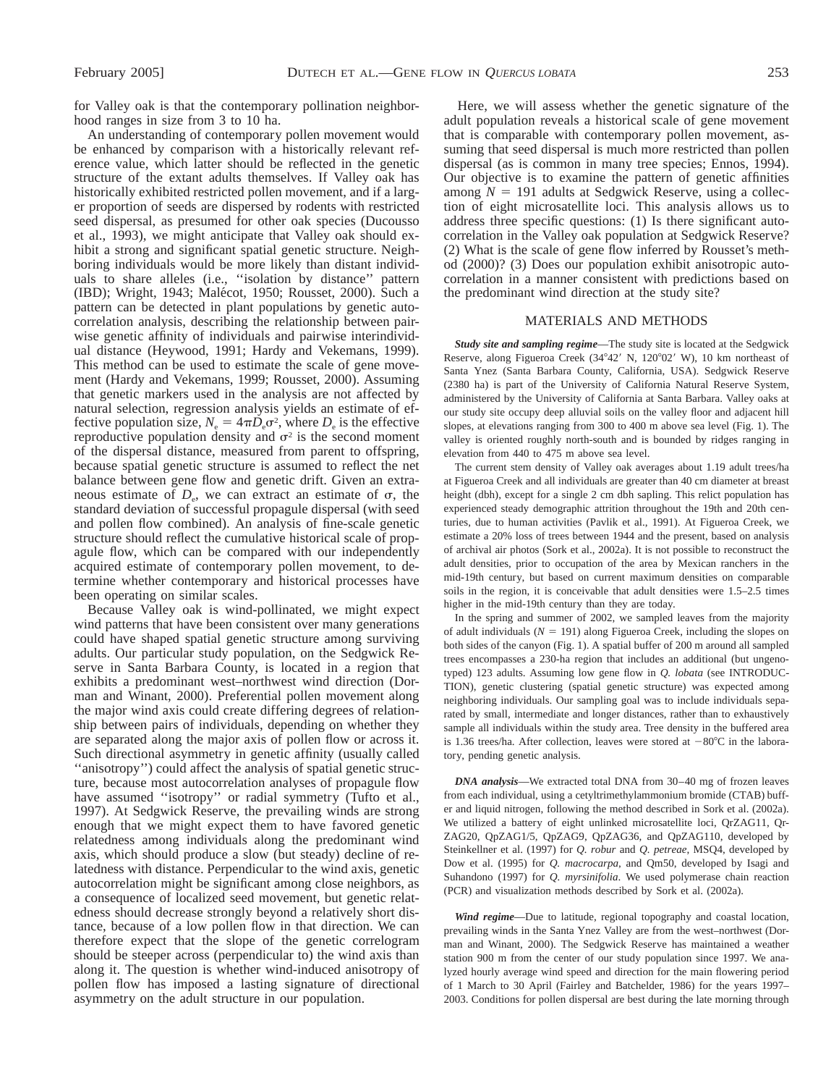for Valley oak is that the contemporary pollination neighborhood ranges in size from 3 to 10 ha.

An understanding of contemporary pollen movement would be enhanced by comparison with a historically relevant reference value, which latter should be reflected in the genetic structure of the extant adults themselves. If Valley oak has historically exhibited restricted pollen movement, and if a larger proportion of seeds are dispersed by rodents with restricted seed dispersal, as presumed for other oak species (Ducousso et al., 1993), we might anticipate that Valley oak should exhibit a strong and significant spatial genetic structure. Neighboring individuals would be more likely than distant individuals to share alleles (i.e., ''isolation by distance'' pattern (IBD); Wright, 1943; Malécot, 1950; Rousset, 2000). Such a pattern can be detected in plant populations by genetic autocorrelation analysis, describing the relationship between pairwise genetic affinity of individuals and pairwise interindividual distance (Heywood, 1991; Hardy and Vekemans, 1999). This method can be used to estimate the scale of gene movement (Hardy and Vekemans, 1999; Rousset, 2000). Assuming that genetic markers used in the analysis are not affected by natural selection, regression analysis yields an estimate of effective population size,  $N_e = 4\pi D_e \sigma^2$ , where  $D_e$  is the effective reproductive population density and  $\sigma^2$  is the second moment of the dispersal distance, measured from parent to offspring, because spatial genetic structure is assumed to reflect the net balance between gene flow and genetic drift. Given an extraneous estimate of  $D_e$ , we can extract an estimate of  $\sigma$ , the standard deviation of successful propagule dispersal (with seed and pollen flow combined). An analysis of fine-scale genetic structure should reflect the cumulative historical scale of propagule flow, which can be compared with our independently acquired estimate of contemporary pollen movement, to determine whether contemporary and historical processes have been operating on similar scales.

Because Valley oak is wind-pollinated, we might expect wind patterns that have been consistent over many generations could have shaped spatial genetic structure among surviving adults. Our particular study population, on the Sedgwick Reserve in Santa Barbara County, is located in a region that exhibits a predominant west–northwest wind direction (Dorman and Winant, 2000). Preferential pollen movement along the major wind axis could create differing degrees of relationship between pairs of individuals, depending on whether they are separated along the major axis of pollen flow or across it. Such directional asymmetry in genetic affinity (usually called ''anisotropy'') could affect the analysis of spatial genetic structure, because most autocorrelation analyses of propagule flow have assumed "isotropy" or radial symmetry (Tufto et al., 1997). At Sedgwick Reserve, the prevailing winds are strong enough that we might expect them to have favored genetic relatedness among individuals along the predominant wind axis, which should produce a slow (but steady) decline of relatedness with distance. Perpendicular to the wind axis, genetic autocorrelation might be significant among close neighbors, as a consequence of localized seed movement, but genetic relatedness should decrease strongly beyond a relatively short distance, because of a low pollen flow in that direction. We can therefore expect that the slope of the genetic correlogram should be steeper across (perpendicular to) the wind axis than along it. The question is whether wind-induced anisotropy of pollen flow has imposed a lasting signature of directional asymmetry on the adult structure in our population.

Here, we will assess whether the genetic signature of the adult population reveals a historical scale of gene movement that is comparable with contemporary pollen movement, assuming that seed dispersal is much more restricted than pollen dispersal (as is common in many tree species; Ennos, 1994). Our objective is to examine the pattern of genetic affinities among  $N = 191$  adults at Sedgwick Reserve, using a collection of eight microsatellite loci. This analysis allows us to address three specific questions: (1) Is there significant autocorrelation in the Valley oak population at Sedgwick Reserve? (2) What is the scale of gene flow inferred by Rousset's method (2000)? (3) Does our population exhibit anisotropic autocorrelation in a manner consistent with predictions based on the predominant wind direction at the study site?

#### MATERIALS AND METHODS

*Study site and sampling regime*—The study site is located at the Sedgwick Reserve, along Figueroa Creek (34°42' N, 120°02' W), 10 km northeast of Santa Ynez (Santa Barbara County, California, USA). Sedgwick Reserve (2380 ha) is part of the University of California Natural Reserve System, administered by the University of California at Santa Barbara. Valley oaks at our study site occupy deep alluvial soils on the valley floor and adjacent hill slopes, at elevations ranging from 300 to 400 m above sea level (Fig. 1). The valley is oriented roughly north-south and is bounded by ridges ranging in elevation from 440 to 475 m above sea level.

The current stem density of Valley oak averages about 1.19 adult trees/ha at Figueroa Creek and all individuals are greater than 40 cm diameter at breast height (dbh), except for a single 2 cm dbh sapling. This relict population has experienced steady demographic attrition throughout the 19th and 20th centuries, due to human activities (Pavlik et al., 1991). At Figueroa Creek, we estimate a 20% loss of trees between 1944 and the present, based on analysis of archival air photos (Sork et al., 2002a). It is not possible to reconstruct the adult densities, prior to occupation of the area by Mexican ranchers in the mid-19th century, but based on current maximum densities on comparable soils in the region, it is conceivable that adult densities were 1.5–2.5 times higher in the mid-19th century than they are today.

In the spring and summer of 2002, we sampled leaves from the majority of adult individuals  $(N = 191)$  along Figueroa Creek, including the slopes on both sides of the canyon (Fig. 1). A spatial buffer of 200 m around all sampled trees encompasses a 230-ha region that includes an additional (but ungenotyped) 123 adults. Assuming low gene flow in *Q. lobata* (see INTRODUC-TION), genetic clustering (spatial genetic structure) was expected among neighboring individuals. Our sampling goal was to include individuals separated by small, intermediate and longer distances, rather than to exhaustively sample all individuals within the study area. Tree density in the buffered area is 1.36 trees/ha. After collection, leaves were stored at  $-80^{\circ}$ C in the laboratory, pending genetic analysis.

*DNA analysis*—We extracted total DNA from 30–40 mg of frozen leaves from each individual, using a cetyltrimethylammonium bromide (CTAB) buffer and liquid nitrogen, following the method described in Sork et al. (2002a). We utilized a battery of eight unlinked microsatellite loci, QrZAG11, Qr-ZAG20, QpZAG1/5, QpZAG9, QpZAG36, and QpZAG110, developed by Steinkellner et al. (1997) for *Q. robur* and *Q. petreae*, MSQ4, developed by Dow et al. (1995) for *Q. macrocarpa*, and Qm50, developed by Isagi and Suhandono (1997) for *Q. myrsinifolia*. We used polymerase chain reaction (PCR) and visualization methods described by Sork et al. (2002a).

*Wind regime*—Due to latitude, regional topography and coastal location, prevailing winds in the Santa Ynez Valley are from the west–northwest (Dorman and Winant, 2000). The Sedgwick Reserve has maintained a weather station 900 m from the center of our study population since 1997. We analyzed hourly average wind speed and direction for the main flowering period of 1 March to 30 April (Fairley and Batchelder, 1986) for the years 1997– 2003. Conditions for pollen dispersal are best during the late morning through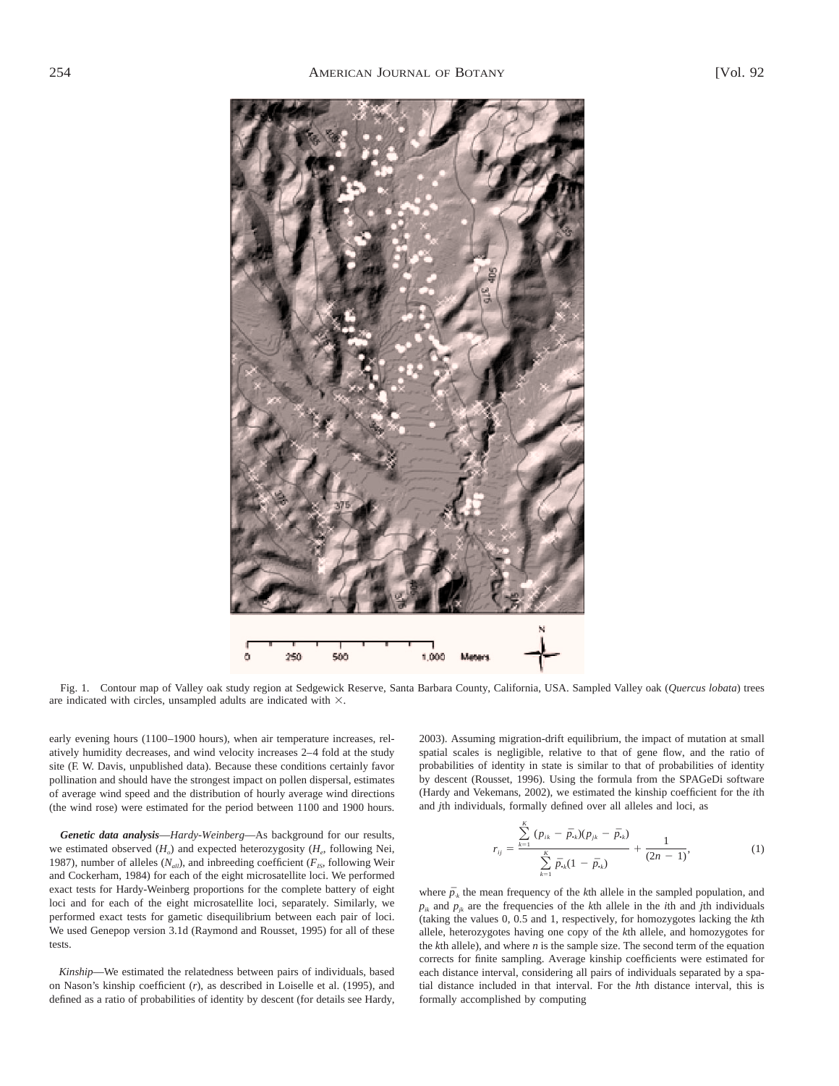

Fig. 1. Contour map of Valley oak study region at Sedgewick Reserve, Santa Barbara County, California, USA. Sampled Valley oak (*Quercus lobata*) trees are indicated with circles, unsampled adults are indicated with  $\times$ .

early evening hours (1100–1900 hours), when air temperature increases, relatively humidity decreases, and wind velocity increases 2–4 fold at the study site (F. W. Davis, unpublished data). Because these conditions certainly favor pollination and should have the strongest impact on pollen dispersal, estimates of average wind speed and the distribution of hourly average wind directions (the wind rose) were estimated for the period between 1100 and 1900 hours.

*Genetic data analysis*—*Hardy-Weinberg*—As background for our results, we estimated observed  $(H_o)$  and expected heterozygosity  $(H_e)$ , following Nei, 1987), number of alleles  $(N_{all})$ , and inbreeding coefficient ( $F_{IS}$ , following Weir and Cockerham, 1984) for each of the eight microsatellite loci. We performed exact tests for Hardy-Weinberg proportions for the complete battery of eight loci and for each of the eight microsatellite loci, separately. Similarly, we performed exact tests for gametic disequilibrium between each pair of loci. We used Genepop version 3.1d (Raymond and Rousset, 1995) for all of these tests.

*Kinship*—We estimated the relatedness between pairs of individuals, based on Nason's kinship coefficient (*r*), as described in Loiselle et al. (1995), and defined as a ratio of probabilities of identity by descent (for details see Hardy,

2003). Assuming migration-drift equilibrium, the impact of mutation at small spatial scales is negligible, relative to that of gene flow, and the ratio of probabilities of identity in state is similar to that of probabilities of identity by descent (Rousset, 1996). Using the formula from the SPAGeDi software (Hardy and Vekemans, 2002), we estimated the kinship coefficient for the *i*th and *j*th individuals, formally defined over all alleles and loci, as

$$
r_{ij} = \frac{\sum_{k=1}^{K} (p_{ik} - \bar{p}_{ik})(p_{jk} - \bar{p}_{ik})}{\sum_{k=1}^{K} \bar{p}_{ik}(1 - \bar{p}_{ik})} + \frac{1}{(2n - 1)},
$$
(1)

where  $\bar{p}_k$  the mean frequency of the *k*th allele in the sampled population, and  $p_{ik}$  and  $p_{jk}$  are the frequencies of the *k*th allele in the *i*th and *j*th individuals (taking the values 0, 0.5 and 1, respectively, for homozygotes lacking the *k*th allele, heterozygotes having one copy of the *k*th allele, and homozygotes for the *k*th allele), and where *n* is the sample size. The second term of the equation corrects for finite sampling. Average kinship coefficients were estimated for each distance interval, considering all pairs of individuals separated by a spatial distance included in that interval. For the *h*th distance interval, this is formally accomplished by computing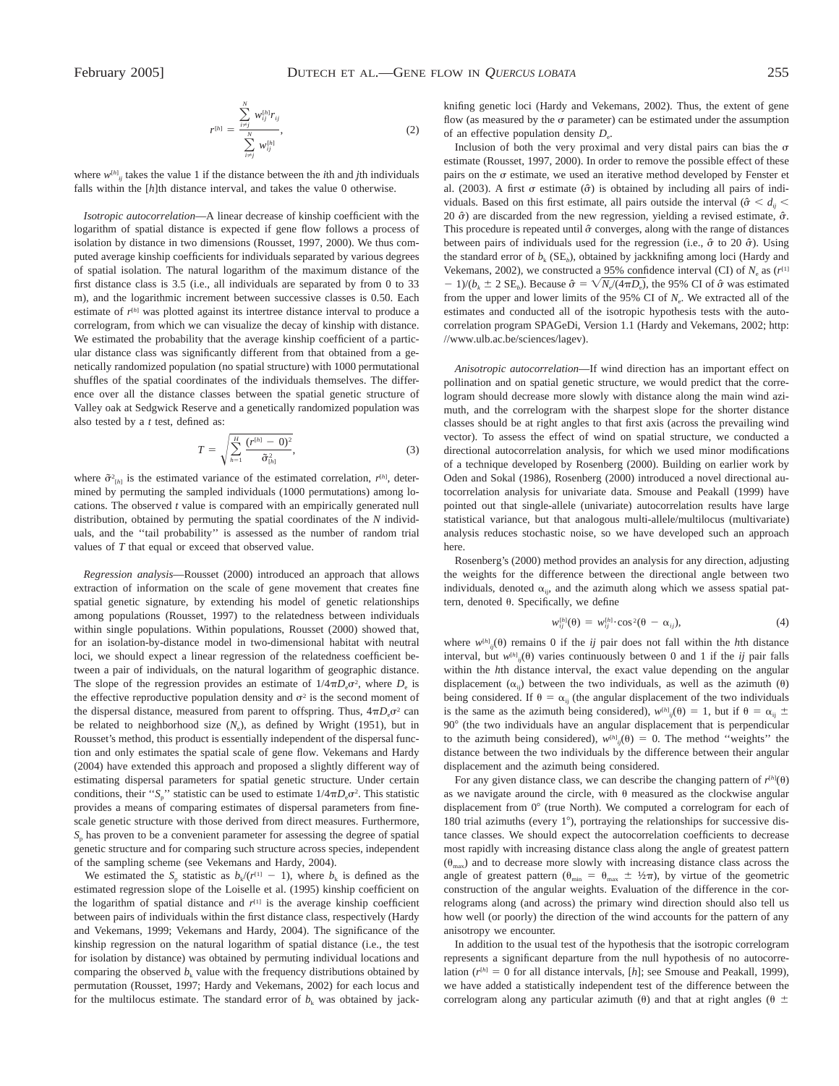$$
r^{[h]} = \frac{\sum_{i \neq j}^{N} w_{ij}^{[h]} r_{ij}}{\sum_{i \neq j}^{N} w_{ij}^{[h]}},
$$
 (2)

where  $w^{[h]}$  takes the value 1 if the distance between the *i*th and *j*th individuals falls within the [*h*]th distance interval, and takes the value 0 otherwise.

*Isotropic autocorrelation*—A linear decrease of kinship coefficient with the logarithm of spatial distance is expected if gene flow follows a process of isolation by distance in two dimensions (Rousset, 1997, 2000). We thus computed average kinship coefficients for individuals separated by various degrees of spatial isolation. The natural logarithm of the maximum distance of the first distance class is 3.5 (i.e., all individuals are separated by from 0 to 33 m), and the logarithmic increment between successive classes is 0.50. Each estimate of  $r^{[h]}$  was plotted against its intertree distance interval to produce a correlogram, from which we can visualize the decay of kinship with distance. We estimated the probability that the average kinship coefficient of a particular distance class was significantly different from that obtained from a genetically randomized population (no spatial structure) with 1000 permutational shuffles of the spatial coordinates of the individuals themselves. The difference over all the distance classes between the spatial genetic structure of Valley oak at Sedgwick Reserve and a genetically randomized population was also tested by a *t* test, defined as:

$$
T = \sqrt{\sum_{h=1}^{H} \frac{(r^{[h]} - 0)^2}{\tilde{\sigma}_{[h]}^2}},
$$
\n(3)

where  $\tilde{\sigma}^2_{[h]}$  is the estimated variance of the estimated correlation,  $r^{[h]}$ , determined by permuting the sampled individuals (1000 permutations) among locations. The observed *t* value is compared with an empirically generated null distribution, obtained by permuting the spatial coordinates of the *N* individuals, and the ''tail probability'' is assessed as the number of random trial values of *T* that equal or exceed that observed value.

*Regression analysis*—Rousset (2000) introduced an approach that allows extraction of information on the scale of gene movement that creates fine spatial genetic signature, by extending his model of genetic relationships among populations (Rousset, 1997) to the relatedness between individuals within single populations. Within populations, Rousset (2000) showed that, for an isolation-by-distance model in two-dimensional habitat with neutral loci, we should expect a linear regression of the relatedness coefficient between a pair of individuals, on the natural logarithm of geographic distance. The slope of the regression provides an estimate of  $1/4\pi D_e \sigma^2$ , where  $D_e$  is the effective reproductive population density and  $\sigma^2$  is the second moment of the dispersal distance, measured from parent to offspring. Thus,  $4\pi D_e \sigma^2$  can be related to neighborhood size  $(N_e)$ , as defined by Wright (1951), but in Rousset's method, this product is essentially independent of the dispersal function and only estimates the spatial scale of gene flow. Vekemans and Hardy (2004) have extended this approach and proposed a slightly different way of estimating dispersal parameters for spatial genetic structure. Under certain conditions, their " $S_p$ " statistic can be used to estimate  $1/4\pi D_e \sigma^2$ . This statistic provides a means of comparing estimates of dispersal parameters from finescale genetic structure with those derived from direct measures. Furthermore, *S*<sub>p</sub> has proven to be a convenient parameter for assessing the degree of spatial genetic structure and for comparing such structure across species, independent of the sampling scheme (see Vekemans and Hardy, 2004).

We estimated the  $S_p$  statistic as  $b_k/(r^{[1]} - 1)$ , where  $b_k$  is defined as the estimated regression slope of the Loiselle et al. (1995) kinship coefficient on the logarithm of spatial distance and  $r<sup>[1]</sup>$  is the average kinship coefficient between pairs of individuals within the first distance class, respectively (Hardy and Vekemans, 1999; Vekemans and Hardy, 2004). The significance of the kinship regression on the natural logarithm of spatial distance (i.e., the test for isolation by distance) was obtained by permuting individual locations and comparing the observed  $b_k$  value with the frequency distributions obtained by permutation (Rousset, 1997; Hardy and Vekemans, 2002) for each locus and for the multilocus estimate. The standard error of  $b_k$  was obtained by jack-

knifing genetic loci (Hardy and Vekemans, 2002). Thus, the extent of gene flow (as measured by the  $\sigma$  parameter) can be estimated under the assumption of an effective population density  $D_e$ .

Inclusion of both the very proximal and very distal pairs can bias the  $\sigma$ estimate (Rousset, 1997, 2000). In order to remove the possible effect of these pairs on the  $\sigma$  estimate, we used an iterative method developed by Fenster et al. (2003). A first  $\sigma$  estimate ( $\hat{\sigma}$ ) is obtained by including all pairs of individuals. Based on this first estimate, all pairs outside the interval ( $\hat{\sigma} < d_{ii}$ 20  $\hat{\sigma}$ ) are discarded from the new regression, yielding a revised estimate,  $\hat{\sigma}$ . This procedure is repeated until  $\hat{\sigma}$  converges, along with the range of distances between pairs of individuals used for the regression (i.e.,  $\hat{\sigma}$  to 20  $\hat{\sigma}$ ). Using the standard error of  $b_k$  (SE<sub>b</sub>), obtained by jackknifing among loci (Hardy and Vekemans, 2002), we constructed a 95% confidence interval (CI) of  $N_e$  as ( $r^{[1]}$ )  $(1)/(b_k \pm 2 \text{ SE}_b)$ . Because  $\hat{\sigma} = \sqrt{N_c/(4\pi D_c)}$ , the 95% CI of  $\hat{\sigma}$  was estimated from the upper and lower limits of the 95% CI of  $N_e$ . We extracted all of the estimates and conducted all of the isotropic hypothesis tests with the autocorrelation program SPAGeDi, Version 1.1 (Hardy and Vekemans, 2002; http: //www.ulb.ac.be/sciences/lagev).

*Anisotropic autocorrelation*—If wind direction has an important effect on pollination and on spatial genetic structure, we would predict that the correlogram should decrease more slowly with distance along the main wind azimuth, and the correlogram with the sharpest slope for the shorter distance classes should be at right angles to that first axis (across the prevailing wind vector). To assess the effect of wind on spatial structure, we conducted a directional autocorrelation analysis, for which we used minor modifications of a technique developed by Rosenberg (2000). Building on earlier work by Oden and Sokal (1986), Rosenberg (2000) introduced a novel directional autocorrelation analysis for univariate data. Smouse and Peakall (1999) have pointed out that single-allele (univariate) autocorrelation results have large statistical variance, but that analogous multi-allele/multilocus (multivariate) analysis reduces stochastic noise, so we have developed such an approach here.

Rosenberg's (2000) method provides an analysis for any direction, adjusting the weights for the difference between the directional angle between two individuals, denoted  $\alpha_{ij}$ , and the azimuth along which we assess spatial pattern, denoted  $\theta$ . Specifically, we define

$$
w_{ij}^{[h]}(\theta) = w_{ij}^{[h]}\cdot \cos^2(\theta - \alpha_{ij}), \qquad (4)
$$

where  $w^{[h]}_{ij}(\theta)$  remains 0 if the *ij* pair does not fall within the *h*th distance interval, but  $w^{[h]}_{ij}(\theta)$  varies continuously between 0 and 1 if the *ij* pair falls within the *h*th distance interval, the exact value depending on the angular displacement ( $\alpha_{ii}$ ) between the two individuals, as well as the azimuth ( $\theta$ ) being considered. If  $\theta = \alpha_{ii}$  (the angular displacement of the two individuals is the same as the azimuth being considered),  $w^{[h]}_{ij}(\theta) = 1$ , but if  $\theta = \alpha_{ij} \pm \alpha_{ij}$ 90° (the two individuals have an angular displacement that is perpendicular to the azimuth being considered),  $w^{[h]}_{ij}(\theta) = 0$ . The method "weights" the distance between the two individuals by the difference between their angular displacement and the azimuth being considered.

For any given distance class, we can describe the changing pattern of  $r^{[h]}(\theta)$ as we navigate around the circle, with  $\theta$  measured as the clockwise angular displacement from  $0^{\circ}$  (true North). We computed a correlogram for each of 180 trial azimuths (every 1°), portraying the relationships for successive distance classes. We should expect the autocorrelation coefficients to decrease most rapidly with increasing distance class along the angle of greatest pattern  $(\theta_{\text{max}})$  and to decrease more slowly with increasing distance class across the angle of greatest pattern ( $\theta_{\min} = \theta_{\max} \pm \frac{1}{2} \pi$ ), by virtue of the geometric construction of the angular weights. Evaluation of the difference in the correlograms along (and across) the primary wind direction should also tell us how well (or poorly) the direction of the wind accounts for the pattern of any anisotropy we encounter.

In addition to the usual test of the hypothesis that the isotropic correlogram represents a significant departure from the null hypothesis of no autocorrelation ( $r^{[h]} = 0$  for all distance intervals, [h]; see Smouse and Peakall, 1999), we have added a statistically independent test of the difference between the correlogram along any particular azimuth ( $\theta$ ) and that at right angles ( $\theta \pm$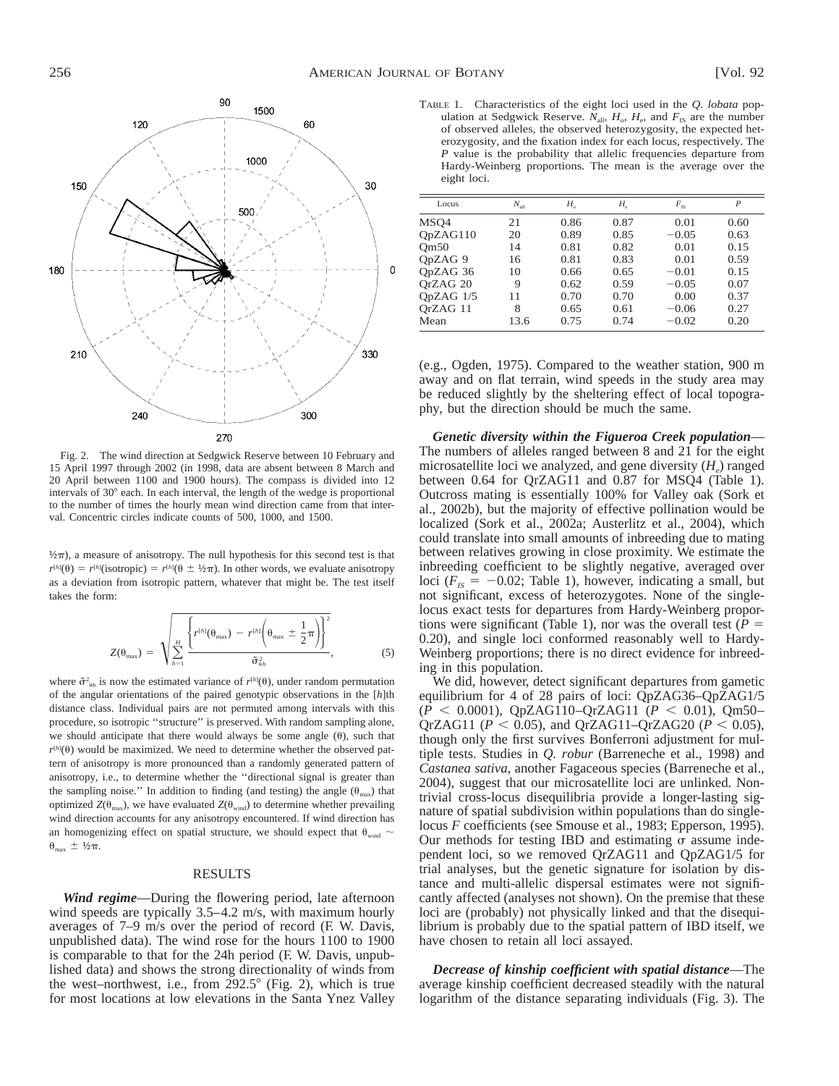

| Locus            | $N_{\rm all}$ | $H_{\alpha}$ | $H_{\scriptscriptstyle\rm e}$ | $F_{\rm IS}$ | $\boldsymbol{P}$ |
|------------------|---------------|--------------|-------------------------------|--------------|------------------|
| MS <sub>O4</sub> | 21            | 0.86         | 0.87                          | 0.01         | 0.60             |
| OpZAG110         | 20            | 0.89         | 0.85                          | $-0.05$      | 0.63             |
| Om50             | 14            | 0.81         | 0.82                          | 0.01         | 0.15             |
| OpZAG 9          | 16            | 0.81         | 0.83                          | 0.01         | 0.59             |
| OpZAG 36         | 10            | 0.66         | 0.65                          | $-0.01$      | 0.15             |
| OrZAG 20         | 9             | 0.62         | 0.59                          | $-0.05$      | 0.07             |
| OpZAG 1/5        | 11            | 0.70         | 0.70                          | 0.00         | 0.37             |
| QrZAG 11         | 8             | 0.65         | 0.61                          | $-0.06$      | 0.27             |
| Mean             | 13.6          | 0.75         | 0.74                          | $-0.02$      | 0.20             |

(e.g., Ogden, 1975). Compared to the weather station, 900 m away and on flat terrain, wind speeds in the study area may be reduced slightly by the sheltering effect of local topography, but the direction should be much the same.

*Genetic diversity within the Figueroa Creek population*— The numbers of alleles ranged between 8 and 21 for the eight microsatellite loci we analyzed, and gene diversity  $(H<sub>e</sub>)$  ranged between 0.64 for QrZAG11 and 0.87 for MSQ4 (Table 1). Outcross mating is essentially 100% for Valley oak (Sork et al., 2002b), but the majority of effective pollination would be localized (Sork et al., 2002a; Austerlitz et al., 2004), which could translate into small amounts of inbreeding due to mating between relatives growing in close proximity. We estimate the inbreeding coefficient to be slightly negative, averaged over loci ( $F_{IS} = -0.02$ ; Table 1), however, indicating a small, but not significant, excess of heterozygotes. None of the singlelocus exact tests for departures from Hardy-Weinberg proportions were significant (Table 1), nor was the overall test ( $\bar{P}$  = 0.20), and single loci conformed reasonably well to Hardy-Weinberg proportions; there is no direct evidence for inbreeding in this population.

We did, however, detect significant departures from gametic equilibrium for 4 of 28 pairs of loci: QpZAG36–QpZAG1/5  $(P < 0.0001)$ , QpZAG110–QrZAG11 ( $P < 0.01$ ), Qm50– QrZAG11 ( $P < 0.05$ ), and QrZAG11–QrZAG20 ( $P < 0.05$ ), though only the first survives Bonferroni adjustment for multiple tests. Studies in *Q. robur* (Barreneche et al., 1998) and *Castanea sativa*, another Fagaceous species (Barreneche et al., 2004), suggest that our microsatellite loci are unlinked. Nontrivial cross-locus disequilibria provide a longer-lasting signature of spatial subdivision within populations than do singlelocus *F* coefficients (see Smouse et al., 1983; Epperson, 1995). Our methods for testing IBD and estimating  $\sigma$  assume independent loci, so we removed QrZAG11 and QpZAG1/5 for trial analyses, but the genetic signature for isolation by distance and multi-allelic dispersal estimates were not significantly affected (analyses not shown). On the premise that these loci are (probably) not physically linked and that the disequilibrium is probably due to the spatial pattern of IBD itself, we have chosen to retain all loci assayed.

*Decrease of kinship coefficient with spatial distance*—The average kinship coefficient decreased steadily with the natural logarithm of the distance separating individuals (Fig. 3). The



Fig. 2. The wind direction at Sedgwick Reserve between 10 February and 15 April 1997 through 2002 (in 1998, data are absent between 8 March and 20 April between 1100 and 1900 hours). The compass is divided into 12 intervals of  $30^{\circ}$  each. In each interval, the length of the wedge is proportional to the number of times the hourly mean wind direction came from that interval. Concentric circles indicate counts of 500, 1000, and 1500.

 $\frac{1}{2}$ , a measure of anisotropy. The null hypothesis for this second test is that  $r^{[h]}(\theta) = r^{[h]}(\text{isotropic}) = r^{[h]}(\theta \pm \frac{1}{2}\pi)$ . In other words, we evaluate anisotropy as a deviation from isotropic pattern, whatever that might be. The test itself takes the form:

$$
Z(\theta_{\max}) = \sqrt{\sum_{h=1}^{H} \frac{\left\{ r^{[h]}(\theta_{\max}) - r^{[h]}\left(\theta_{\max} \pm \frac{1}{2}\pi\right) \right\}^2}{\tilde{\sigma}_{\theta h}^2}},
$$
(5)

where  $\tilde{\sigma}^2_{\theta h}$  is now the estimated variance of  $r^{[h]}(\theta)$ , under random permutation of the angular orientations of the paired genotypic observations in the [*h*]th distance class. Individual pairs are not permuted among intervals with this procedure, so isotropic ''structure'' is preserved. With random sampling alone, we should anticipate that there would always be some angle  $(\theta)$ , such that  $r<sup>[h]</sup>(\theta)$  would be maximized. We need to determine whether the observed pattern of anisotropy is more pronounced than a randomly generated pattern of anisotropy, i.e., to determine whether the ''directional signal is greater than the sampling noise." In addition to finding (and testing) the angle  $(\theta_{max})$  that optimized  $Z(\theta_{\text{max}})$ , we have evaluated  $Z(\theta_{\text{wind}})$  to determine whether prevailing wind direction accounts for any anisotropy encountered. If wind direction has an homogenizing effect on spatial structure, we should expect that  $\theta_{wind}$  $\theta_{\text{max}} \pm 1/2\pi$ .

#### RESULTS

*Wind regime*—During the flowering period, late afternoon wind speeds are typically 3.5–4.2 m/s, with maximum hourly averages of 7–9 m/s over the period of record (F. W. Davis, unpublished data). The wind rose for the hours 1100 to 1900 is comparable to that for the 24h period (F. W. Davis, unpublished data) and shows the strong directionality of winds from the west–northwest, i.e., from  $292.5^{\circ}$  (Fig. 2), which is true for most locations at low elevations in the Santa Ynez Valley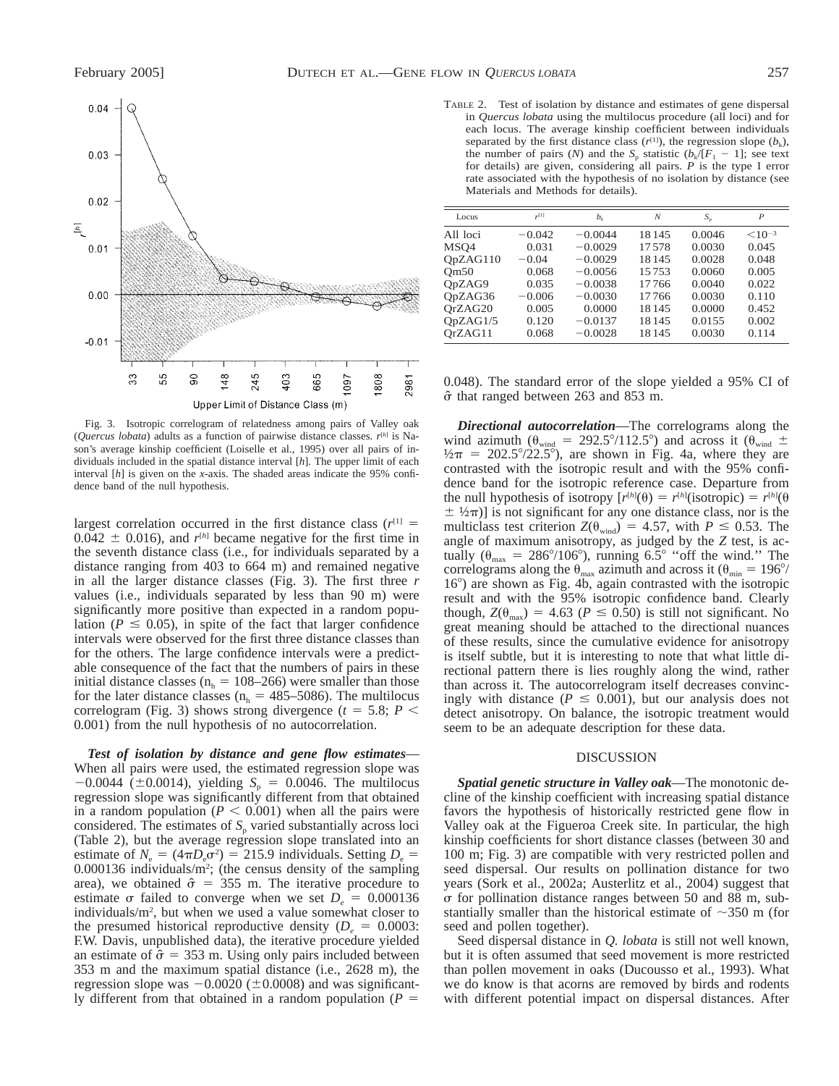

Fig. 3. Isotropic correlogram of relatedness among pairs of Valley oak (*Quercus lobata*) adults as a function of pairwise distance classes. *r*[*h*] is Nason's average kinship coefficient (Loiselle et al., 1995) over all pairs of individuals included in the spatial distance interval [*h*]. The upper limit of each interval [*h*] is given on the *x*-axis. The shaded areas indicate the 95% confidence band of the null hypothesis.

largest correlation occurred in the first distance class  $(r^{[1]}$  =  $0.042 \pm 0.016$ ), and  $r^{[h]}$  became negative for the first time in the seventh distance class (i.e., for individuals separated by a distance ranging from 403 to 664 m) and remained negative in all the larger distance classes (Fig. 3). The first three *r* values (i.e., individuals separated by less than 90 m) were significantly more positive than expected in a random population ( $P \leq 0.05$ ), in spite of the fact that larger confidence intervals were observed for the first three distance classes than for the others. The large confidence intervals were a predictable consequence of the fact that the numbers of pairs in these initial distance classes ( $n_h = 108-266$ ) were smaller than those for the later distance classes ( $n_h = 485-5086$ ). The multilocus correlogram (Fig. 3) shows strong divergence ( $t = 5.8$ ;  $P \leq$ 0.001) from the null hypothesis of no autocorrelation.

*Test of isolation by distance and gene flow estimates*— When all pairs were used, the estimated regression slope was  $-0.0044$  ( $\pm 0.0014$ ), yielding  $S_p = 0.0046$ . The multilocus regression slope was significantly different from that obtained in a random population ( $P < 0.001$ ) when all the pairs were considered. The estimates of  $S_p$  varied substantially across loci (Table 2), but the average regression slope translated into an estimate of  $N_e = (4\pi D_e \sigma^2) = 215.9$  individuals. Setting  $D_e =$  $0.000136$  individuals/m<sup>2</sup>; (the census density of the sampling area), we obtained  $\hat{\sigma} = 355$  m. The iterative procedure to estimate  $\sigma$  failed to converge when we set  $D_e = 0.000136$ individuals/m2 , but when we used a value somewhat closer to the presumed historical reproductive density  $(D_e = 0.0003$ : F.W. Davis, unpublished data), the iterative procedure yielded an estimate of  $\hat{\sigma} = 353$  m. Using only pairs included between 353 m and the maximum spatial distance (i.e., 2628 m), the regression slope was  $-0.0020$  ( $\pm 0.0008$ ) and was significantly different from that obtained in a random population  $(P =$ 

TABLE 2. Test of isolation by distance and estimates of gene dispersal in *Quercus lobata* using the multilocus procedure (all loci) and for each locus. The average kinship coefficient between individuals separated by the first distance class  $(r^{[1]})$ , the regression slope  $(b_k)$ , the number of pairs (*N*) and the  $S_p$  statistic ( $b_k/[F_1 - 1]$ ; see text for details) are given, considering all pairs. *P* is the type I error rate associated with the hypothesis of no isolation by distance (see Materials and Methods for details).

| Locus            | $r^{[1]}$ | $b_{\iota}$ | N      | $S_{\rm p}$ | P           |
|------------------|-----------|-------------|--------|-------------|-------------|
| All loci         | $-0.042$  | $-0.0044$   | 18145  | 0.0046      | $< 10^{-3}$ |
| MS <sub>O4</sub> | 0.031     | $-0.0029$   | 17.578 | 0.0030      | 0.045       |
| OpZAG110         | $-0.04$   | $-0.0029$   | 18145  | 0.0028      | 0.048       |
| Om50             | 0.068     | $-0.0056$   | 15753  | 0.0060      | 0.005       |
| OpZAG9           | 0.035     | $-0.0038$   | 17766  | 0.0040      | 0.022       |
| OpZAG36          | $-0.006$  | $-0.0030$   | 17766  | 0.0030      | 0.110       |
| OrZAG20          | 0.005     | 0.0000      | 18145  | 0.0000      | 0.452       |
| QpZAG1/5         | 0.120     | $-0.0137$   | 18145  | 0.0155      | 0.002       |
| OrZAG11          | 0.068     | $-0.0028$   | 18145  | 0.0030      | 0.114       |

0.048). The standard error of the slope yielded a 95% CI of  $\hat{\sigma}$  that ranged between 263 and 853 m.

*Directional autocorrelation*—The correlograms along the wind azimuth ( $\theta_{wind} = 292.5^{\circ}/112.5^{\circ}$ ) and across it ( $\theta_{wind} \pm$  $\frac{1}{2}\pi$  = 202.5°/22.5°), are shown in Fig. 4a, where they are contrasted with the isotropic result and with the 95% confidence band for the isotropic reference case. Departure from the null hypothesis of isotropy  $[r^{[h]}(\theta) = r^{[h]}(\text{isotropic}) = r^{[h]}(\theta)$  $\pm$  ½ $\pi$ )] is not significant for any one distance class, nor is the multiclass test criterion  $Z(\theta_{wind}) = 4.57$ , with  $P \le 0.53$ . The angle of maximum anisotropy, as judged by the *Z* test, is actually ( $\theta_{\text{max}} = 286^{\circ}/106^{\circ}$ ), running 6.5° "off the wind." The correlograms along the  $\theta_{\text{max}}$  azimuth and across it ( $\theta_{\text{min}} = 196^{\circ}/$ 16°) are shown as Fig. 4b, again contrasted with the isotropic result and with the 95% isotropic confidence band. Clearly though,  $Z(\theta_{\text{max}}) = 4.63$  ( $P \le 0.50$ ) is still not significant. No great meaning should be attached to the directional nuances of these results, since the cumulative evidence for anisotropy is itself subtle, but it is interesting to note that what little directional pattern there is lies roughly along the wind, rather than across it. The autocorrelogram itself decreases convincingly with distance  $(P \leq 0.001)$ , but our analysis does not detect anisotropy. On balance, the isotropic treatment would seem to be an adequate description for these data.

### DISCUSSION

*Spatial genetic structure in Valley oak*—The monotonic decline of the kinship coefficient with increasing spatial distance favors the hypothesis of historically restricted gene flow in Valley oak at the Figueroa Creek site. In particular, the high kinship coefficients for short distance classes (between 30 and 100 m; Fig. 3) are compatible with very restricted pollen and seed dispersal. Our results on pollination distance for two years (Sork et al., 2002a; Austerlitz et al., 2004) suggest that  $\sigma$  for pollination distance ranges between 50 and 88 m, substantially smaller than the historical estimate of  $\sim$ 350 m (for seed and pollen together).

Seed dispersal distance in *Q. lobata* is still not well known, but it is often assumed that seed movement is more restricted than pollen movement in oaks (Ducousso et al., 1993). What we do know is that acorns are removed by birds and rodents with different potential impact on dispersal distances. After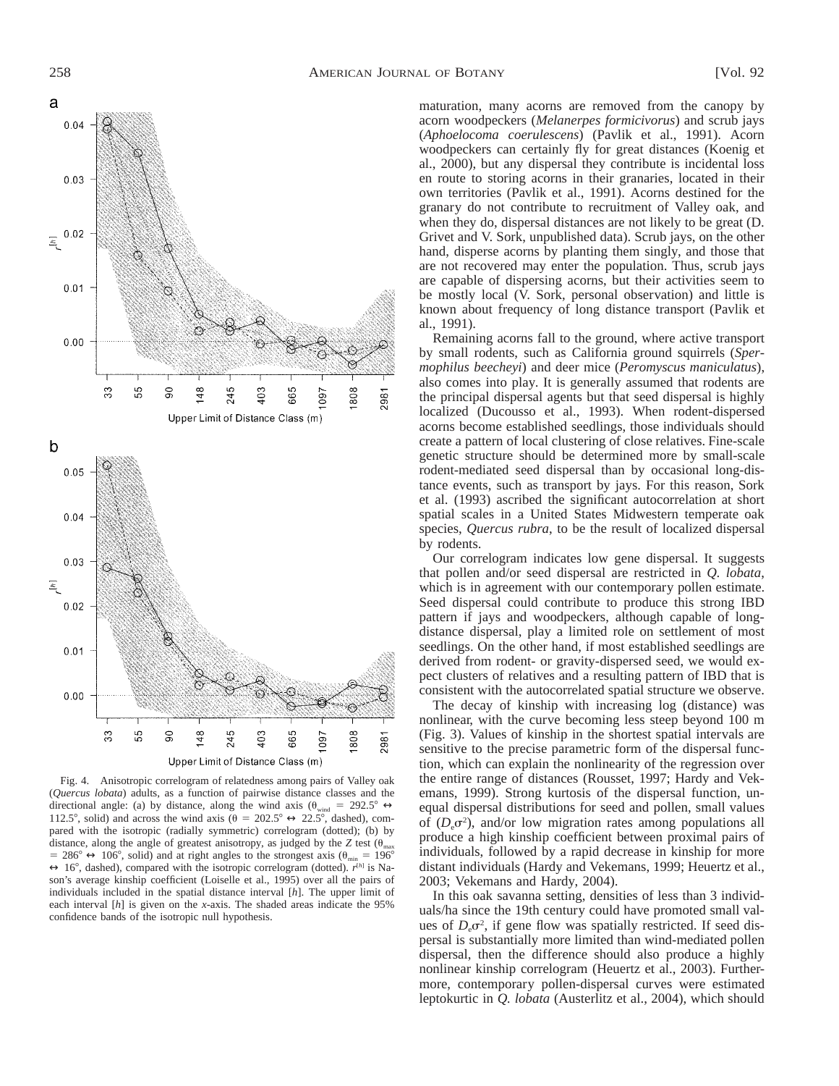

Fig. 4. Anisotropic correlogram of relatedness among pairs of Valley oak (*Quercus lobata*) adults, as a function of pairwise distance classes and the directional angle: (a) by distance, along the wind axis ( $\theta_{wind} = 292.5^{\circ} \leftrightarrow$ 112.5°, solid) and across the wind axis ( $\theta = 202.5^{\circ} \leftrightarrow 22.5^{\circ}$ , dashed), compared with the isotropic (radially symmetric) correlogram (dotted); (b) by distance, along the angle of greatest anisotropy, as judged by the *Z* test ( $\theta_{\text{max}}$ )  $= 286^{\circ} \leftrightarrow 106^{\circ}$ , solid) and at right angles to the strongest axis ( $\theta_{\min} = 196^{\circ}$ ↔ 168, dashed), compared with the isotropic correlogram (dotted). *r*[*h*] is Nason's average kinship coefficient (Loiselle et al., 1995) over all the pairs of individuals included in the spatial distance interval [*h*]. The upper limit of each interval [*h*] is given on the *x*-axis. The shaded areas indicate the 95% confidence bands of the isotropic null hypothesis.

maturation, many acorns are removed from the canopy by acorn woodpeckers (*Melanerpes formicivorus*) and scrub jays (*Aphoelocoma coerulescens*) (Pavlik et al., 1991). Acorn woodpeckers can certainly fly for great distances (Koenig et al., 2000), but any dispersal they contribute is incidental loss en route to storing acorns in their granaries, located in their own territories (Pavlik et al., 1991). Acorns destined for the granary do not contribute to recruitment of Valley oak, and when they do, dispersal distances are not likely to be great (D. Grivet and V. Sork, unpublished data). Scrub jays, on the other hand, disperse acorns by planting them singly, and those that are not recovered may enter the population. Thus, scrub jays are capable of dispersing acorns, but their activities seem to be mostly local (V. Sork, personal observation) and little is known about frequency of long distance transport (Pavlik et al., 1991).

Remaining acorns fall to the ground, where active transport by small rodents, such as California ground squirrels (*Spermophilus beecheyi*) and deer mice (*Peromyscus maniculatus*), also comes into play. It is generally assumed that rodents are the principal dispersal agents but that seed dispersal is highly localized (Ducousso et al., 1993). When rodent-dispersed acorns become established seedlings, those individuals should create a pattern of local clustering of close relatives. Fine-scale genetic structure should be determined more by small-scale rodent-mediated seed dispersal than by occasional long-distance events, such as transport by jays. For this reason, Sork et al. (1993) ascribed the significant autocorrelation at short spatial scales in a United States Midwestern temperate oak species, *Quercus rubra*, to be the result of localized dispersal by rodents.

Our correlogram indicates low gene dispersal. It suggests that pollen and/or seed dispersal are restricted in *Q. lobata*, which is in agreement with our contemporary pollen estimate. Seed dispersal could contribute to produce this strong IBD pattern if jays and woodpeckers, although capable of longdistance dispersal, play a limited role on settlement of most seedlings. On the other hand, if most established seedlings are derived from rodent- or gravity-dispersed seed, we would expect clusters of relatives and a resulting pattern of IBD that is consistent with the autocorrelated spatial structure we observe.

The decay of kinship with increasing log (distance) was nonlinear, with the curve becoming less steep beyond 100 m (Fig. 3). Values of kinship in the shortest spatial intervals are sensitive to the precise parametric form of the dispersal function, which can explain the nonlinearity of the regression over the entire range of distances (Rousset, 1997; Hardy and Vekemans, 1999). Strong kurtosis of the dispersal function, unequal dispersal distributions for seed and pollen, small values of  $(D_e \sigma^2)$ , and/or low migration rates among populations all produce a high kinship coefficient between proximal pairs of individuals, followed by a rapid decrease in kinship for more distant individuals (Hardy and Vekemans, 1999; Heuertz et al., 2003; Vekemans and Hardy, 2004).

In this oak savanna setting, densities of less than 3 individuals/ha since the 19th century could have promoted small values of  $D_e\sigma^2$ , if gene flow was spatially restricted. If seed dispersal is substantially more limited than wind-mediated pollen dispersal, then the difference should also produce a highly nonlinear kinship correlogram (Heuertz et al., 2003). Furthermore, contemporary pollen-dispersal curves were estimated leptokurtic in *Q. lobata* (Austerlitz et al., 2004), which should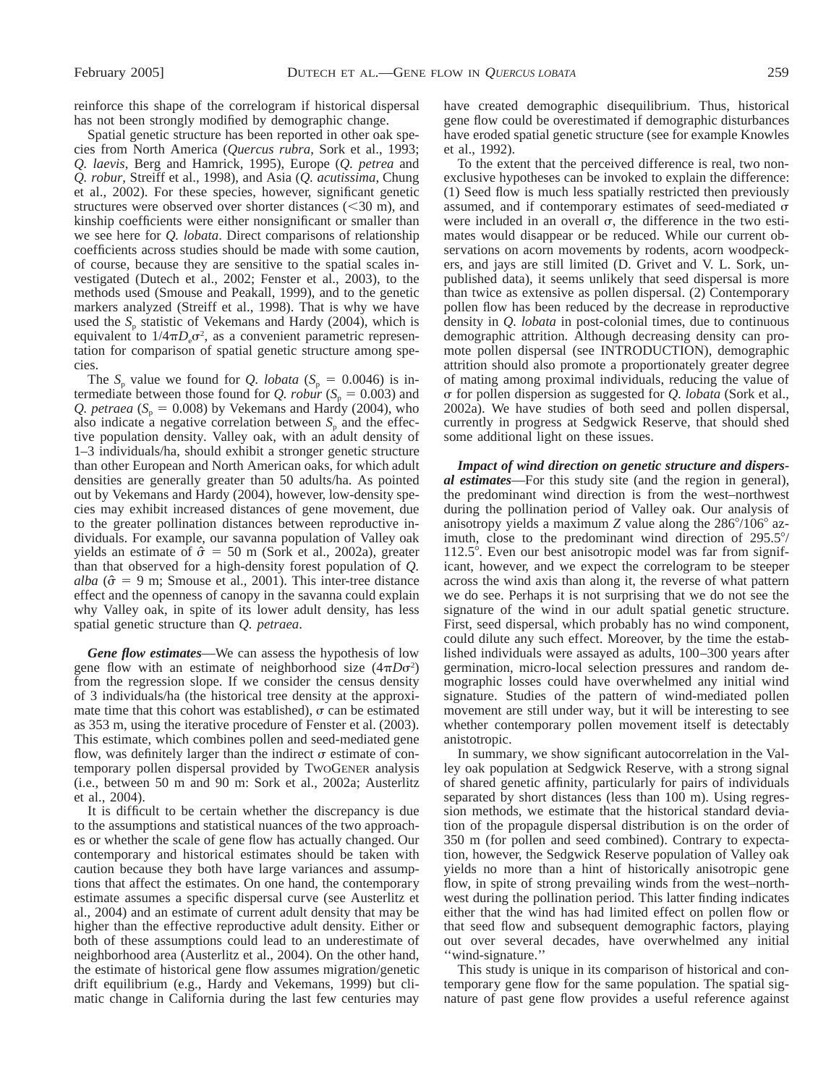reinforce this shape of the correlogram if historical dispersal has not been strongly modified by demographic change.

Spatial genetic structure has been reported in other oak species from North America (*Quercus rubra*, Sork et al., 1993; *Q. laevis*, Berg and Hamrick, 1995), Europe (*Q. petrea* and *Q. robur*, Streiff et al., 1998), and Asia (*Q. acutissima*, Chung et al., 2002). For these species, however, significant genetic structures were observed over shorter distances  $(< 30 \text{ m})$ , and kinship coefficients were either nonsignificant or smaller than we see here for *Q. lobata*. Direct comparisons of relationship coefficients across studies should be made with some caution, of course, because they are sensitive to the spatial scales investigated (Dutech et al., 2002; Fenster et al., 2003), to the methods used (Smouse and Peakall, 1999), and to the genetic markers analyzed (Streiff et al., 1998). That is why we have used the *S*<sub>p</sub> statistic of Vekemans and Hardy (2004), which is equivalent to  $1/4\pi D_e \sigma^2$ , as a convenient parametric representation for comparison of spatial genetic structure among species.

The  $S_p$  value we found for *Q. lobata* ( $S_p = 0.0046$ ) is intermediate between those found for *Q. robur* ( $S_p = 0.003$ ) and *Q. petraea* ( $S_p = 0.008$ ) by Vekemans and Hardy (2004), who also indicate a negative correlation between  $S<sub>n</sub>$  and the effective population density. Valley oak, with an adult density of 1–3 individuals/ha, should exhibit a stronger genetic structure than other European and North American oaks, for which adult densities are generally greater than 50 adults/ha. As pointed out by Vekemans and Hardy (2004), however, low-density species may exhibit increased distances of gene movement, due to the greater pollination distances between reproductive individuals. For example, our savanna population of Valley oak yields an estimate of  $\hat{\sigma} = 50$  m (Sork et al., 2002a), greater than that observed for a high-density forest population of *Q. alba* ( $\hat{\sigma}$  = 9 m; Smouse et al., 2001). This inter-tree distance effect and the openness of canopy in the savanna could explain why Valley oak, in spite of its lower adult density, has less spatial genetic structure than *Q. petraea*.

*Gene flow estimates*—We can assess the hypothesis of low gene flow with an estimate of neighborhood size  $(4\pi D\sigma^2)$ from the regression slope. If we consider the census density of 3 individuals/ha (the historical tree density at the approximate time that this cohort was established),  $\sigma$  can be estimated as 353 m, using the iterative procedure of Fenster et al. (2003). This estimate, which combines pollen and seed-mediated gene flow, was definitely larger than the indirect  $\sigma$  estimate of contemporary pollen dispersal provided by TWOGENER analysis (i.e., between 50 m and 90 m: Sork et al., 2002a; Austerlitz et al., 2004).

It is difficult to be certain whether the discrepancy is due to the assumptions and statistical nuances of the two approaches or whether the scale of gene flow has actually changed. Our contemporary and historical estimates should be taken with caution because they both have large variances and assumptions that affect the estimates. On one hand, the contemporary estimate assumes a specific dispersal curve (see Austerlitz et al., 2004) and an estimate of current adult density that may be higher than the effective reproductive adult density. Either or both of these assumptions could lead to an underestimate of neighborhood area (Austerlitz et al., 2004). On the other hand, the estimate of historical gene flow assumes migration/genetic drift equilibrium (e.g., Hardy and Vekemans, 1999) but climatic change in California during the last few centuries may

have created demographic disequilibrium. Thus, historical gene flow could be overestimated if demographic disturbances have eroded spatial genetic structure (see for example Knowles et al., 1992).

To the extent that the perceived difference is real, two nonexclusive hypotheses can be invoked to explain the difference: (1) Seed flow is much less spatially restricted then previously assumed, and if contemporary estimates of seed-mediated  $\sigma$ were included in an overall  $\sigma$ , the difference in the two estimates would disappear or be reduced. While our current observations on acorn movements by rodents, acorn woodpeckers, and jays are still limited (D. Grivet and V. L. Sork, unpublished data), it seems unlikely that seed dispersal is more than twice as extensive as pollen dispersal. (2) Contemporary pollen flow has been reduced by the decrease in reproductive density in *Q. lobata* in post-colonial times, due to continuous demographic attrition. Although decreasing density can promote pollen dispersal (see INTRODUCTION), demographic attrition should also promote a proportionately greater degree of mating among proximal individuals, reducing the value of s for pollen dispersion as suggested for *Q. lobata* (Sork et al., 2002a). We have studies of both seed and pollen dispersal, currently in progress at Sedgwick Reserve, that should shed some additional light on these issues.

*Impact of wind direction on genetic structure and dispersal estimates*—For this study site (and the region in general), the predominant wind direction is from the west–northwest during the pollination period of Valley oak. Our analysis of anisotropy yields a maximum *Z* value along the  $286^{\circ}/106^{\circ}$  azimuth, close to the predominant wind direction of  $295.5^{\circ}$ /  $112.5^{\circ}$ . Even our best anisotropic model was far from significant, however, and we expect the correlogram to be steeper across the wind axis than along it, the reverse of what pattern we do see. Perhaps it is not surprising that we do not see the signature of the wind in our adult spatial genetic structure. First, seed dispersal, which probably has no wind component, could dilute any such effect. Moreover, by the time the established individuals were assayed as adults, 100–300 years after germination, micro-local selection pressures and random demographic losses could have overwhelmed any initial wind signature. Studies of the pattern of wind-mediated pollen movement are still under way, but it will be interesting to see whether contemporary pollen movement itself is detectably anistotropic.

In summary, we show significant autocorrelation in the Valley oak population at Sedgwick Reserve, with a strong signal of shared genetic affinity, particularly for pairs of individuals separated by short distances (less than 100 m). Using regression methods, we estimate that the historical standard deviation of the propagule dispersal distribution is on the order of 350 m (for pollen and seed combined). Contrary to expectation, however, the Sedgwick Reserve population of Valley oak yields no more than a hint of historically anisotropic gene flow, in spite of strong prevailing winds from the west–northwest during the pollination period. This latter finding indicates either that the wind has had limited effect on pollen flow or that seed flow and subsequent demographic factors, playing out over several decades, have overwhelmed any initial ''wind-signature.''

This study is unique in its comparison of historical and contemporary gene flow for the same population. The spatial signature of past gene flow provides a useful reference against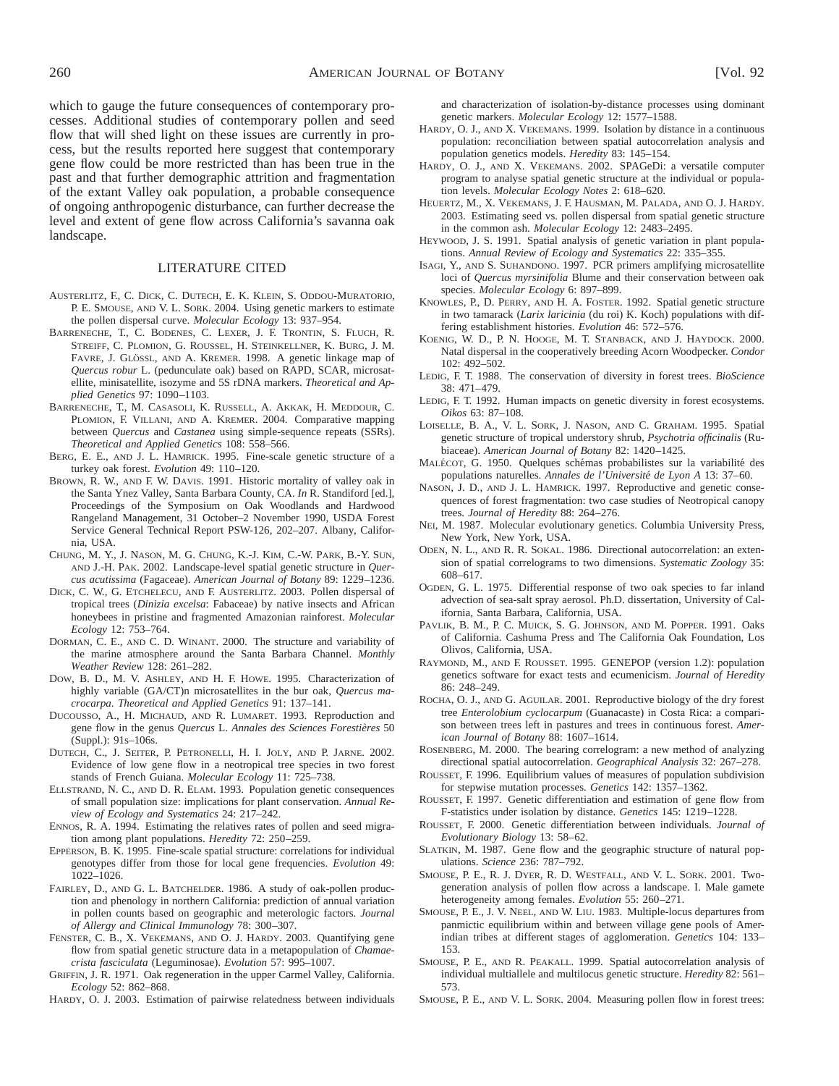which to gauge the future consequences of contemporary processes. Additional studies of contemporary pollen and seed flow that will shed light on these issues are currently in process, but the results reported here suggest that contemporary gene flow could be more restricted than has been true in the past and that further demographic attrition and fragmentation of the extant Valley oak population, a probable consequence of ongoing anthropogenic disturbance, can further decrease the level and extent of gene flow across California's savanna oak landscape.

## LITERATURE CITED

- AUSTERLITZ, F., C. DICK, C. DUTECH, E. K. KLEIN, S. ODDOU-MURATORIO, P. E. SMOUSE, AND V. L. SORK. 2004. Using genetic markers to estimate the pollen dispersal curve. *Molecular Ecology* 13: 937–954.
- BARRENECHE, T., C. BODENES, C. LEXER, J. F. TRONTIN, S. FLUCH, R. STREIFF, C. PLOMION, G. ROUSSEL, H. STEINKELLNER, K. BURG, J. M. FAVRE, J. GLÖSSL, AND A. KREMER. 1998. A genetic linkage map of *Quercus robur* L. (pedunculate oak) based on RAPD, SCAR, microsatellite, minisatellite, isozyme and 5S rDNA markers. *Theoretical and Applied Genetics* 97: 1090–1103.
- BARRENECHE, T., M. CASASOLI, K. RUSSELL, A. AKKAK, H. MEDDOUR, C. PLOMION, F. VILLANI, AND A. KREMER. 2004. Comparative mapping between *Quercus* and *Castanea* using simple-sequence repeats (SSRs). *Theoretical and Applied Genetics* 108: 558–566.
- BERG, E. E., AND J. L. HAMRICK. 1995. Fine-scale genetic structure of a turkey oak forest. *Evolution* 49: 110–120.
- BROWN, R. W., AND F. W. DAVIS. 1991. Historic mortality of valley oak in the Santa Ynez Valley, Santa Barbara County, CA. *In* R. Standiford [ed.], Proceedings of the Symposium on Oak Woodlands and Hardwood Rangeland Management, 31 October–2 November 1990, USDA Forest Service General Technical Report PSW-126, 202–207. Albany, California, USA.
- CHUNG, M. Y., J. NASON, M. G. CHUNG, K.-J. KIM, C.-W. PARK, B.-Y. SUN, AND J.-H. PAK. 2002. Landscape-level spatial genetic structure in *Quercus acutissima* (Fagaceae). *American Journal of Botany* 89: 1229–1236.
- DICK, C. W., G. ETCHELECU, AND F. AUSTERLITZ. 2003. Pollen dispersal of tropical trees (*Dinizia excelsa*: Fabaceae) by native insects and African honeybees in pristine and fragmented Amazonian rainforest. *Molecular Ecology* 12: 753–764.
- DORMAN, C. E., AND C. D. WINANT. 2000. The structure and variability of the marine atmosphere around the Santa Barbara Channel. *Monthly Weather Review* 128: 261–282.
- DOW, B. D., M. V. ASHLEY, AND H. F. HOWE. 1995. Characterization of highly variable (GA/CT)n microsatellites in the bur oak, *Quercus macrocarpa*. *Theoretical and Applied Genetics* 91: 137–141.
- DUCOUSSO, A., H. MICHAUD, AND R. LUMARET. 1993. Reproduction and gene flow in the genus *Quercus* L. *Annales des Sciences Forestières* 50 (Suppl.): 91s–106s.
- DUTECH, C., J. SEITER, P. PETRONELLI, H. I. JOLY, AND P. JARNE. 2002. Evidence of low gene flow in a neotropical tree species in two forest stands of French Guiana. *Molecular Ecology* 11: 725–738.
- ELLSTRAND, N. C., AND D. R. ELAM. 1993. Population genetic consequences of small population size: implications for plant conservation. *Annual Review of Ecology and Systematics* 24: 217–242.
- ENNOS, R. A. 1994. Estimating the relatives rates of pollen and seed migration among plant populations. *Heredity* 72: 250–259.
- EPPERSON, B. K. 1995. Fine-scale spatial structure: correlations for individual genotypes differ from those for local gene frequencies. *Evolution* 49:  $1022 - 1026$ .
- FAIRLEY, D., AND G. L. BATCHELDER. 1986. A study of oak-pollen production and phenology in northern California: prediction of annual variation in pollen counts based on geographic and meterologic factors. *Journal of Allergy and Clinical Immunology* 78: 300–307.
- FENSTER, C. B., X. VEKEMANS, AND O. J. HARDY. 2003. Quantifying gene flow from spatial genetic structure data in a metapopulation of *Chamaecrista fasciculata* (Leguminosae). *Evolution* 57: 995–1007.
- GRIFFIN, J. R. 1971. Oak regeneration in the upper Carmel Valley, California. *Ecology* 52: 862–868.
- HARDY, O. J. 2003. Estimation of pairwise relatedness between individuals

and characterization of isolation-by-distance processes using dominant genetic markers. *Molecular Ecology* 12: 1577–1588.

- HARDY, O. J., AND X. VEKEMANS. 1999. Isolation by distance in a continuous population: reconciliation between spatial autocorrelation analysis and population genetics models. *Heredity* 83: 145–154.
- HARDY, O. J., AND X. VEKEMANS. 2002. SPAGeDi: a versatile computer program to analyse spatial genetic structure at the individual or population levels. *Molecular Ecology Notes* 2: 618–620.
- HEUERTZ, M., X. VEKEMANS, J. F. HAUSMAN, M. PALADA, AND O. J. HARDY. 2003. Estimating seed vs. pollen dispersal from spatial genetic structure in the common ash. *Molecular Ecology* 12: 2483–2495.
- HEYWOOD, J. S. 1991. Spatial analysis of genetic variation in plant populations. *Annual Review of Ecology and Systematics* 22: 335–355.
- ISAGI, Y., AND S. SUHANDONO. 1997. PCR primers amplifying microsatellite loci of *Quercus myrsinifolia* Blume and their conservation between oak species. *Molecular Ecology* 6: 897–899.
- KNOWLES, P., D. PERRY, AND H. A. FOSTER. 1992. Spatial genetic structure in two tamarack (*Larix laricinia* (du roi) K. Koch) populations with differing establishment histories. *Evolution* 46: 572–576.
- KOENIG, W. D., P. N. HOOGE, M. T. STANBACK, AND J. HAYDOCK. 2000. Natal dispersal in the cooperatively breeding Acorn Woodpecker. *Condor* 102: 492–502.
- LEDIG, F. T. 1988. The conservation of diversity in forest trees. *BioScience* 38: 471–479.
- LEDIG, F. T. 1992. Human impacts on genetic diversity in forest ecosystems. *Oikos* 63: 87–108.
- LOISELLE, B. A., V. L. SORK, J. NASON, AND C. GRAHAM. 1995. Spatial genetic structure of tropical understory shrub, *Psychotria officinalis* (Rubiaceae). *American Journal of Botany* 82: 1420–1425.
- MALÉCOT, G. 1950. Quelques schémas probabilistes sur la variabilité des populations naturelles. *Annales de l'Universite´ de Lyon A* 13: 37–60.
- NASON, J. D., AND J. L. HAMRICK. 1997. Reproductive and genetic consequences of forest fragmentation: two case studies of Neotropical canopy trees. *Journal of Heredity* 88: 264–276.
- NEI, M. 1987. Molecular evolutionary genetics. Columbia University Press, New York, New York, USA.
- ODEN, N. L., AND R. R. SOKAL. 1986. Directional autocorrelation: an extension of spatial correlograms to two dimensions. *Systematic Zoology* 35: 608–617.
- OGDEN, G. L. 1975. Differential response of two oak species to far inland advection of sea-salt spray aerosol. Ph.D. dissertation, University of California, Santa Barbara, California, USA.
- PAVLIK, B. M., P. C. MUICK, S. G. JOHNSON, AND M. POPPER. 1991. Oaks of California. Cashuma Press and The California Oak Foundation, Los Olivos, California, USA.
- RAYMOND, M., AND F. ROUSSET. 1995. GENEPOP (version 1.2): population genetics software for exact tests and ecumenicism. *Journal of Heredity* 86: 248–249.
- ROCHA, O. J., AND G. AGUILAR. 2001. Reproductive biology of the dry forest tree *Enterolobium cyclocarpum* (Guanacaste) in Costa Rica: a comparison between trees left in pastures and trees in continuous forest. *American Journal of Botany* 88: 1607–1614.
- ROSENBERG, M. 2000. The bearing correlogram: a new method of analyzing directional spatial autocorrelation. *Geographical Analysis* 32: 267–278.
- ROUSSET, F. 1996. Equilibrium values of measures of population subdivision for stepwise mutation processes. *Genetics* 142: 1357–1362.
- ROUSSET, F. 1997. Genetic differentiation and estimation of gene flow from F-statistics under isolation by distance. *Genetics* 145: 1219–1228.
- ROUSSET, F. 2000. Genetic differentiation between individuals. *Journal of Evolutionary Biology* 13: 58–62.
- SLATKIN, M. 1987. Gene flow and the geographic structure of natural populations. *Science* 236: 787–792.
- SMOUSE, P. E., R. J. DYER, R. D. WESTFALL, AND V. L. SORK. 2001. Twogeneration analysis of pollen flow across a landscape. I. Male gamete heterogeneity among females. *Evolution* 55: 260–271.
- SMOUSE, P. E., J. V. NEEL, AND W. LIU. 1983. Multiple-locus departures from panmictic equilibrium within and between village gene pools of Amerindian tribes at different stages of agglomeration. *Genetics* 104: 133– 153.
- SMOUSE, P. E., AND R. PEAKALL. 1999. Spatial autocorrelation analysis of individual multiallele and multilocus genetic structure. *Heredity* 82: 561– 573.
- SMOUSE, P. E., AND V. L. SORK. 2004. Measuring pollen flow in forest trees: